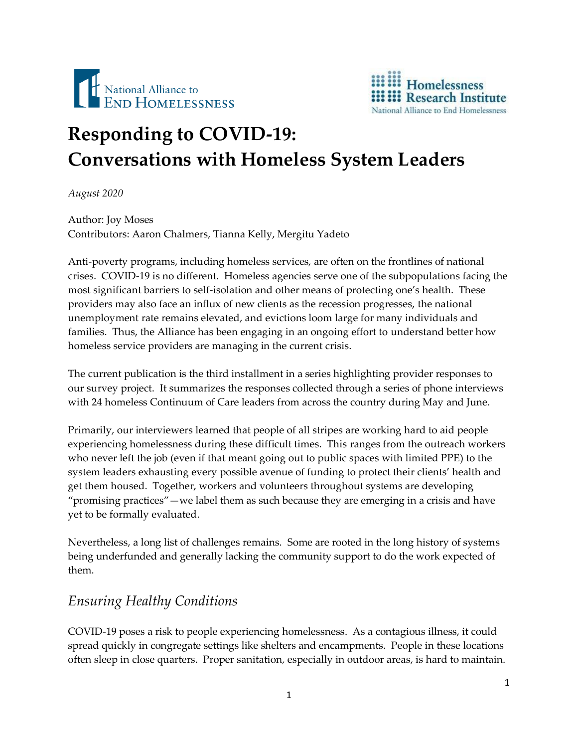



# **Responding to COVID-19: Conversations with Homeless System Leaders**

*August 2020*

Author: Joy Moses Contributors: Aaron Chalmers, Tianna Kelly, Mergitu Yadeto

Anti-poverty programs, including homeless services, are often on the frontlines of national crises. COVID-19 is no different. Homeless agencies serve one of the subpopulations facing the most significant barriers to self-isolation and other means of protecting one's health. These providers may also face an influx of new clients as the recession progresses, the national unemployment rate remains elevated, and evictions loom large for many individuals and families. Thus, the Alliance has been engaging in an ongoing effort to understand better how homeless service providers are managing in the current crisis.

The current publication is the third installment in a series highlighting provider responses to our survey project. It summarizes the responses collected through a series of phone interviews with 24 homeless Continuum of Care leaders from across the country during May and June.

Primarily, our interviewers learned that people of all stripes are working hard to aid people experiencing homelessness during these difficult times. This ranges from the outreach workers who never left the job (even if that meant going out to public spaces with limited PPE) to the system leaders exhausting every possible avenue of funding to protect their clients' health and get them housed. Together, workers and volunteers throughout systems are developing "promising practices"—we label them as such because they are emerging in a crisis and have yet to be formally evaluated.

Nevertheless, a long list of challenges remains. Some are rooted in the long history of systems being underfunded and generally lacking the community support to do the work expected of them.

# *Ensuring Healthy Conditions*

COVID-19 poses a risk to people experiencing homelessness. As a contagious illness, it could spread quickly in congregate settings like shelters and encampments. People in these locations often sleep in close quarters. Proper sanitation, especially in outdoor areas, is hard to maintain.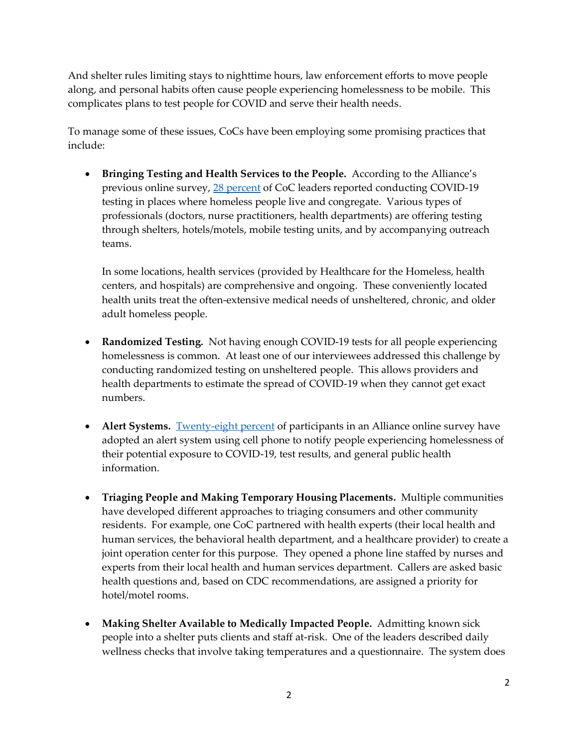And shelter rules limiting stays to nighttime hours, law enforcement efforts to move people along, and personal habits often cause people experiencing homelessness to be mobile. This complicates plans to test people for COVID and serve their health needs.

To manage some of these issues, CoCs have been employing some promising practices that include:

• **Bringing Testing and Health Services to the People.** According to the Alliance's previous online survey, 28 [percent](https://endhomelessness.org/wp-content/uploads/2020/05/Community-COVID-Survey-5.28.2020-Final.pdf) of CoC leaders reported conducting COVID-19 testing in places where homeless people live and congregate. Various types of professionals (doctors, nurse practitioners, health departments) are offering testing through shelters, hotels/motels, mobile testing units, and by accompanying outreach teams.

In some locations, health services (provided by Healthcare for the Homeless, health centers, and hospitals) are comprehensive and ongoing. These conveniently located health units treat the often-extensive medical needs of unsheltered, chronic, and older adult homeless people.

- **Randomized Testing.** Not having enough COVID-19 tests for all people experiencing homelessness is common. At least one of our interviewees addressed this challenge by conducting randomized testing on unsheltered people. This allows providers and health departments to estimate the spread of COVID-19 when they cannot get exact numbers.
- **Alert Systems.** <u>[Twenty-eight percent](https://endhomelessness.org/wp-content/uploads/2020/05/Community-COVID-Survey-5.28.2020-Final.pdf)</u> of participants in an Alliance online survey have adopted an alert system using cell phone to notify people experiencing homelessness of their potential exposure to COVID-19, test results, and general public health information.
- **Triaging People and Making Temporary Housing Placements.** Multiple communities have developed different approaches to triaging consumers and other community residents. For example, one CoC partnered with health experts (their local health and human services, the behavioral health department, and a healthcare provider) to create a joint operation center for this purpose. They opened a phone line staffed by nurses and experts from their local health and human services department. Callers are asked basic health questions and, based on CDC recommendations, are assigned a priority for hotel/motel rooms.
- **Making Shelter Available to Medically Impacted People.** Admitting known sick people into a shelter puts clients and staff at-risk. One of the leaders described daily wellness checks that involve taking temperatures and a questionnaire. The system does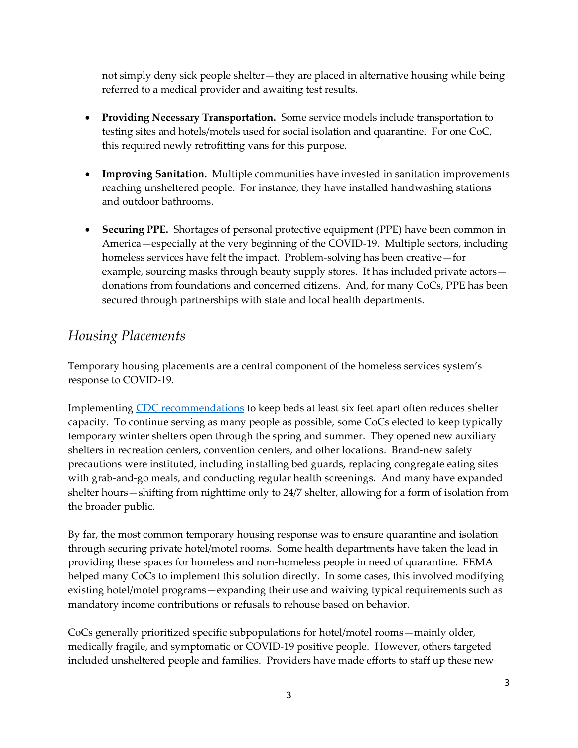not simply deny sick people shelter—they are placed in alternative housing while being referred to a medical provider and awaiting test results.

- **Providing Necessary Transportation.** Some service models include transportation to testing sites and hotels/motels used for social isolation and quarantine. For one CoC, this required newly retrofitting vans for this purpose.
- **Improving Sanitation.** Multiple communities have invested in sanitation improvements reaching unsheltered people. For instance, they have installed handwashing stations and outdoor bathrooms.
- **Securing PPE.** Shortages of personal protective equipment (PPE) have been common in America—especially at the very beginning of the COVID-19. Multiple sectors, including homeless services have felt the impact. Problem-solving has been creative—for example, sourcing masks through beauty supply stores. It has included private actors donations from foundations and concerned citizens. And, for many CoCs, PPE has been secured through partnerships with state and local health departments.

## *Housing Placements*

Temporary housing placements are a central component of the homeless services system's response to COVID-19.

Implementing [CDC recommendations](https://www.cdc.gov/coronavirus/2019-ncov/community/homeless-shelters/plan-prepare-respond.html) to keep beds at least six feet apart often reduces shelter capacity. To continue serving as many people as possible, some CoCs elected to keep typically temporary winter shelters open through the spring and summer. They opened new auxiliary shelters in recreation centers, convention centers, and other locations. Brand-new safety precautions were instituted, including installing bed guards, replacing congregate eating sites with grab-and-go meals, and conducting regular health screenings. And many have expanded shelter hours—shifting from nighttime only to 24/7 shelter, allowing for a form of isolation from the broader public.

By far, the most common temporary housing response was to ensure quarantine and isolation through securing private hotel/motel rooms. Some health departments have taken the lead in providing these spaces for homeless and non-homeless people in need of quarantine. FEMA helped many CoCs to implement this solution directly. In some cases, this involved modifying existing hotel/motel programs—expanding their use and waiving typical requirements such as mandatory income contributions or refusals to rehouse based on behavior.

CoCs generally prioritized specific subpopulations for hotel/motel rooms—mainly older, medically fragile, and symptomatic or COVID-19 positive people. However, others targeted included unsheltered people and families. Providers have made efforts to staff up these new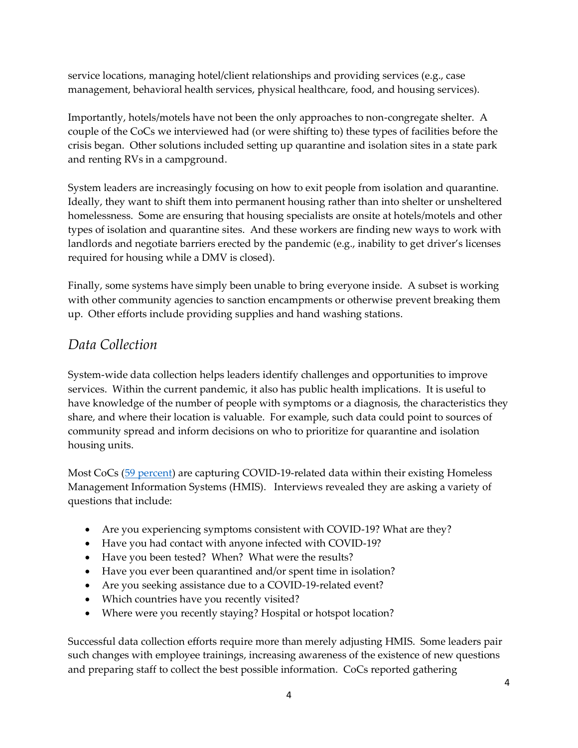service locations, managing hotel/client relationships and providing services (e.g., case management, behavioral health services, physical healthcare, food, and housing services).

Importantly, hotels/motels have not been the only approaches to non-congregate shelter. A couple of the CoCs we interviewed had (or were shifting to) these types of facilities before the crisis began. Other solutions included setting up quarantine and isolation sites in a state park and renting RVs in a campground.

System leaders are increasingly focusing on how to exit people from isolation and quarantine. Ideally, they want to shift them into permanent housing rather than into shelter or unsheltered homelessness. Some are ensuring that housing specialists are onsite at hotels/motels and other types of isolation and quarantine sites. And these workers are finding new ways to work with landlords and negotiate barriers erected by the pandemic (e.g., inability to get driver's licenses required for housing while a DMV is closed).

Finally, some systems have simply been unable to bring everyone inside. A subset is working with other community agencies to sanction encampments or otherwise prevent breaking them up. Other efforts include providing supplies and hand washing stations.

## *Data Collection*

System-wide data collection helps leaders identify challenges and opportunities to improve services. Within the current pandemic, it also has public health implications. It is useful to have knowledge of the number of people with symptoms or a diagnosis, the characteristics they share, and where their location is valuable. For example, such data could point to sources of community spread and inform decisions on who to prioritize for quarantine and isolation housing units.

Most CoCs [\(59 percent\)](https://endhomelessness.org/wp-content/uploads/2020/05/Community-COVID-Survey-5.28.2020-Final.pdf) are capturing COVID-19-related data within their existing Homeless Management Information Systems (HMIS). Interviews revealed they are asking a variety of questions that include:

- Are you experiencing symptoms consistent with COVID-19? What are they?
- Have you had contact with anyone infected with COVID-19?
- Have you been tested? When? What were the results?
- Have you ever been quarantined and/or spent time in isolation?
- Are you seeking assistance due to a COVID-19-related event?
- Which countries have you recently visited?
- Where were you recently staying? Hospital or hotspot location?

Successful data collection efforts require more than merely adjusting HMIS. Some leaders pair such changes with employee trainings, increasing awareness of the existence of new questions and preparing staff to collect the best possible information. CoCs reported gathering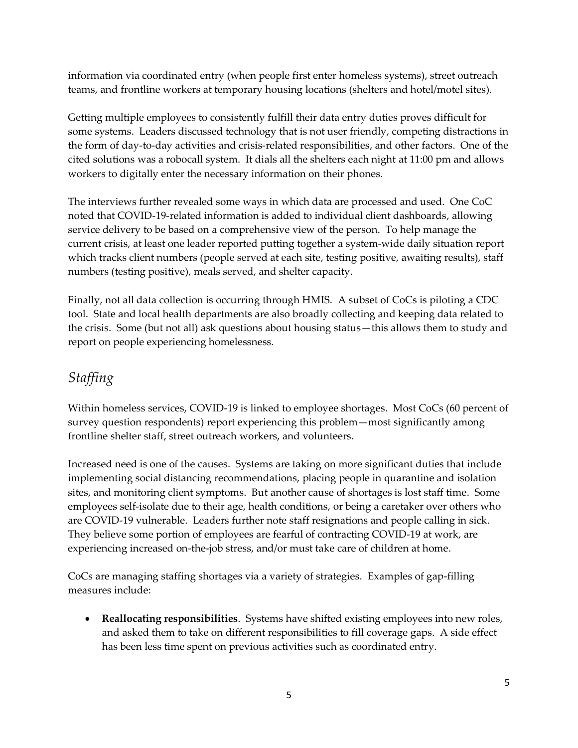information via coordinated entry (when people first enter homeless systems), street outreach teams, and frontline workers at temporary housing locations (shelters and hotel/motel sites).

Getting multiple employees to consistently fulfill their data entry duties proves difficult for some systems. Leaders discussed technology that is not user friendly, competing distractions in the form of day-to-day activities and crisis-related responsibilities, and other factors. One of the cited solutions was a robocall system. It dials all the shelters each night at 11:00 pm and allows workers to digitally enter the necessary information on their phones.

The interviews further revealed some ways in which data are processed and used. One CoC noted that COVID-19-related information is added to individual client dashboards, allowing service delivery to be based on a comprehensive view of the person. To help manage the current crisis, at least one leader reported putting together a system-wide daily situation report which tracks client numbers (people served at each site, testing positive, awaiting results), staff numbers (testing positive), meals served, and shelter capacity.

Finally, not all data collection is occurring through HMIS. A subset of CoCs is piloting a CDC tool. State and local health departments are also broadly collecting and keeping data related to the crisis. Some (but not all) ask questions about housing status—this allows them to study and report on people experiencing homelessness.

# *Staffing*

Within homeless services, COVID-19 is linked to employee shortages. Most CoCs (60 percent of survey question respondents) report experiencing this problem—most significantly among frontline shelter staff, street outreach workers, and volunteers.

Increased need is one of the causes. Systems are taking on more significant duties that include implementing social distancing recommendations, placing people in quarantine and isolation sites, and monitoring client symptoms. But another cause of shortages is lost staff time. Some employees self-isolate due to their age, health conditions, or being a caretaker over others who are COVID-19 vulnerable. Leaders further note staff resignations and people calling in sick. They believe some portion of employees are fearful of contracting COVID-19 at work, are experiencing increased on-the-job stress, and/or must take care of children at home.

CoCs are managing staffing shortages via a variety of strategies. Examples of gap-filling measures include:

• **Reallocating responsibilities**. Systems have shifted existing employees into new roles, and asked them to take on different responsibilities to fill coverage gaps. A side effect has been less time spent on previous activities such as coordinated entry.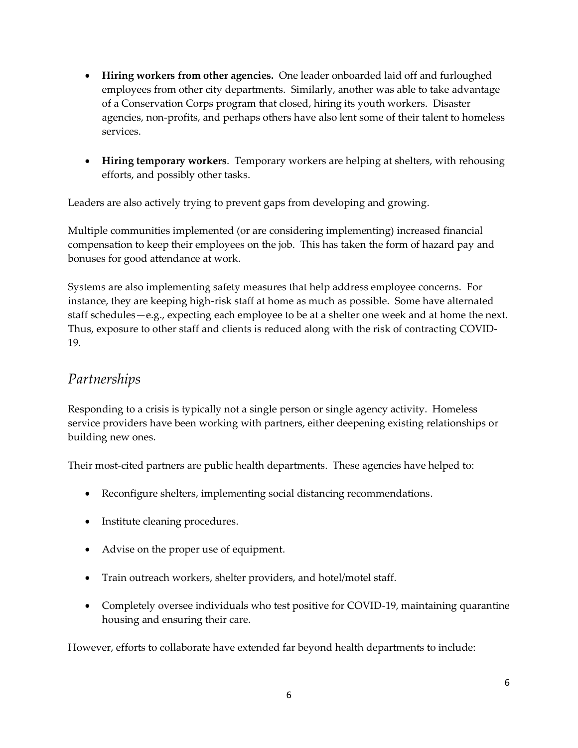- **Hiring workers from other agencies.** One leader onboarded laid off and furloughed employees from other city departments. Similarly, another was able to take advantage of a Conservation Corps program that closed, hiring its youth workers. Disaster agencies, non-profits, and perhaps others have also lent some of their talent to homeless services.
- **Hiring temporary workers**. Temporary workers are helping at shelters, with rehousing efforts, and possibly other tasks.

Leaders are also actively trying to prevent gaps from developing and growing.

Multiple communities implemented (or are considering implementing) increased financial compensation to keep their employees on the job. This has taken the form of hazard pay and bonuses for good attendance at work.

Systems are also implementing safety measures that help address employee concerns. For instance, they are keeping high-risk staff at home as much as possible. Some have alternated staff schedules—e.g., expecting each employee to be at a shelter one week and at home the next. Thus, exposure to other staff and clients is reduced along with the risk of contracting COVID-19.

## *Partnerships*

Responding to a crisis is typically not a single person or single agency activity. Homeless service providers have been working with partners, either deepening existing relationships or building new ones.

Their most-cited partners are public health departments. These agencies have helped to:

- Reconfigure shelters, implementing social distancing recommendations.
- Institute cleaning procedures.
- Advise on the proper use of equipment.
- Train outreach workers, shelter providers, and hotel/motel staff.
- Completely oversee individuals who test positive for COVID-19, maintaining quarantine housing and ensuring their care.

However, efforts to collaborate have extended far beyond health departments to include: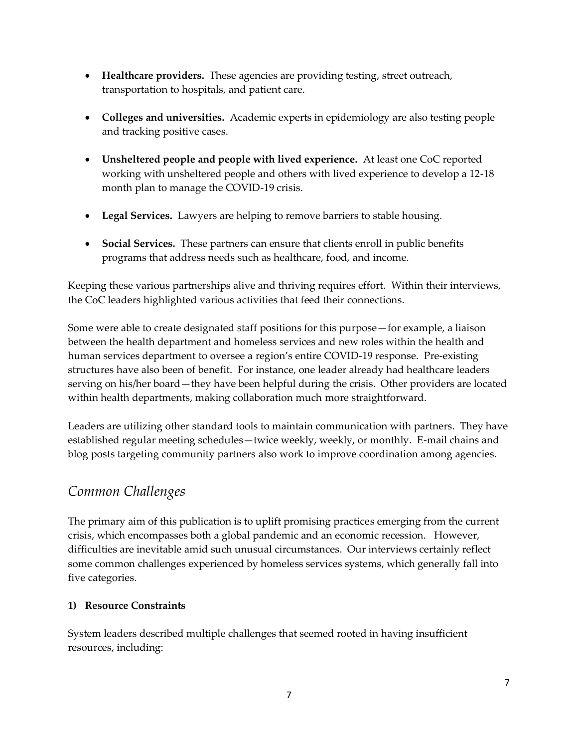- **Healthcare providers.** These agencies are providing testing, street outreach, transportation to hospitals, and patient care.
- **Colleges and universities.** Academic experts in epidemiology are also testing people and tracking positive cases.
- **Unsheltered people and people with lived experience.** At least one CoC reported working with unsheltered people and others with lived experience to develop a 12-18 month plan to manage the COVID-19 crisis.
- **Legal Services.** Lawyers are helping to remove barriers to stable housing.
- **Social Services.** These partners can ensure that clients enroll in public benefits programs that address needs such as healthcare, food, and income.

Keeping these various partnerships alive and thriving requires effort. Within their interviews, the CoC leaders highlighted various activities that feed their connections.

Some were able to create designated staff positions for this purpose—for example, a liaison between the health department and homeless services and new roles within the health and human services department to oversee a region's entire COVID-19 response. Pre-existing structures have also been of benefit. For instance, one leader already had healthcare leaders serving on his/her board—they have been helpful during the crisis. Other providers are located within health departments, making collaboration much more straightforward.

Leaders are utilizing other standard tools to maintain communication with partners. They have established regular meeting schedules—twice weekly, weekly, or monthly. E-mail chains and blog posts targeting community partners also work to improve coordination among agencies.

# *Common Challenges*

The primary aim of this publication is to uplift promising practices emerging from the current crisis, which encompasses both a global pandemic and an economic recession. However, difficulties are inevitable amid such unusual circumstances. Our interviews certainly reflect some common challenges experienced by homeless services systems, which generally fall into five categories.

#### **1) Resource Constraints**

System leaders described multiple challenges that seemed rooted in having insufficient resources, including: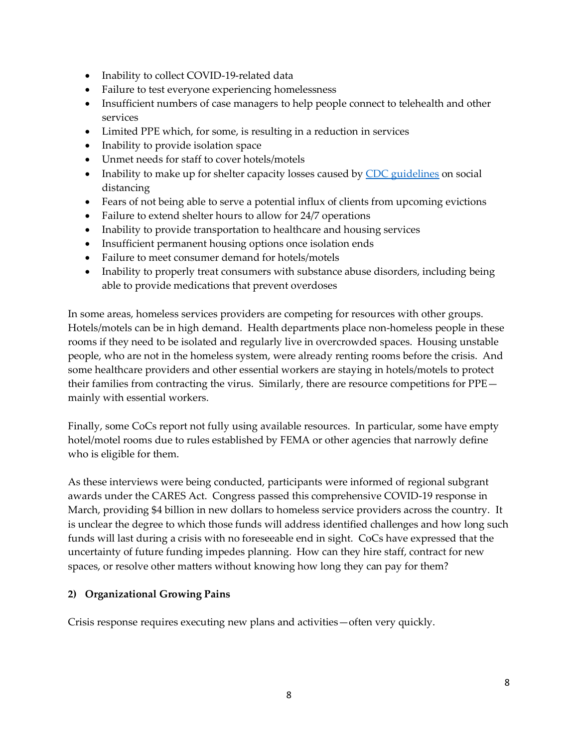- Inability to collect COVID-19-related data
- Failure to test everyone experiencing homelessness
- Insufficient numbers of case managers to help people connect to telehealth and other services
- Limited PPE which, for some, is resulting in a reduction in services
- Inability to provide isolation space
- Unmet needs for staff to cover hotels/motels
- Inability to make up for shelter capacity losses caused by [CDC guidelines](https://www.cdc.gov/coronavirus/2019-ncov/community/homeless-shelters/plan-prepare-respond.html) on social distancing
- Fears of not being able to serve a potential influx of clients from upcoming evictions
- Failure to extend shelter hours to allow for 24/7 operations
- Inability to provide transportation to healthcare and housing services
- Insufficient permanent housing options once isolation ends
- Failure to meet consumer demand for hotels/motels
- Inability to properly treat consumers with substance abuse disorders, including being able to provide medications that prevent overdoses

In some areas, homeless services providers are competing for resources with other groups. Hotels/motels can be in high demand. Health departments place non-homeless people in these rooms if they need to be isolated and regularly live in overcrowded spaces. Housing unstable people, who are not in the homeless system, were already renting rooms before the crisis. And some healthcare providers and other essential workers are staying in hotels/motels to protect their families from contracting the virus. Similarly, there are resource competitions for PPE mainly with essential workers.

Finally, some CoCs report not fully using available resources. In particular, some have empty hotel/motel rooms due to rules established by FEMA or other agencies that narrowly define who is eligible for them.

As these interviews were being conducted, participants were informed of regional subgrant awards under the CARES Act. Congress passed this comprehensive COVID-19 response in March, providing \$4 billion in new dollars to homeless service providers across the country. It is unclear the degree to which those funds will address identified challenges and how long such funds will last during a crisis with no foreseeable end in sight. CoCs have expressed that the uncertainty of future funding impedes planning. How can they hire staff, contract for new spaces, or resolve other matters without knowing how long they can pay for them?

#### **2) Organizational Growing Pains**

Crisis response requires executing new plans and activities—often very quickly.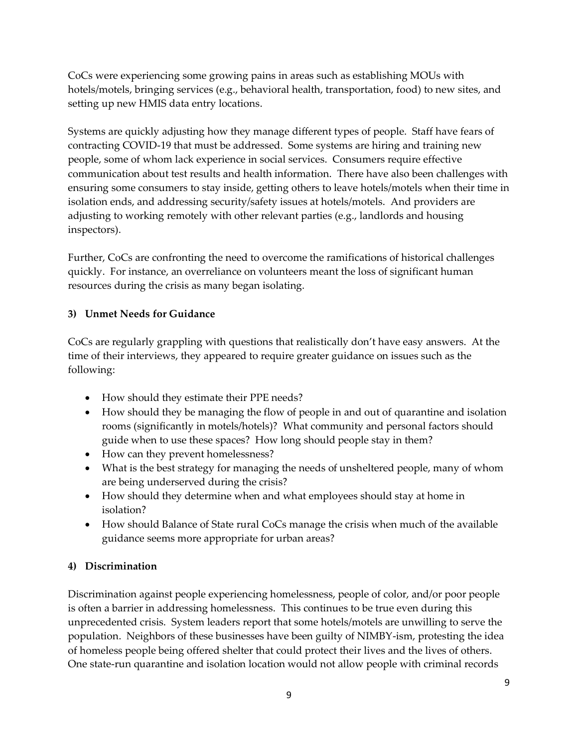CoCs were experiencing some growing pains in areas such as establishing MOUs with hotels/motels, bringing services (e.g., behavioral health, transportation, food) to new sites, and setting up new HMIS data entry locations.

Systems are quickly adjusting how they manage different types of people. Staff have fears of contracting COVID-19 that must be addressed. Some systems are hiring and training new people, some of whom lack experience in social services. Consumers require effective communication about test results and health information. There have also been challenges with ensuring some consumers to stay inside, getting others to leave hotels/motels when their time in isolation ends, and addressing security/safety issues at hotels/motels. And providers are adjusting to working remotely with other relevant parties (e.g., landlords and housing inspectors).

Further, CoCs are confronting the need to overcome the ramifications of historical challenges quickly. For instance, an overreliance on volunteers meant the loss of significant human resources during the crisis as many began isolating.

#### **3) Unmet Needs for Guidance**

CoCs are regularly grappling with questions that realistically don't have easy answers. At the time of their interviews, they appeared to require greater guidance on issues such as the following:

- How should they estimate their PPE needs?
- How should they be managing the flow of people in and out of quarantine and isolation rooms (significantly in motels/hotels)? What community and personal factors should guide when to use these spaces? How long should people stay in them?
- How can they prevent homelessness?
- What is the best strategy for managing the needs of unsheltered people, many of whom are being underserved during the crisis?
- How should they determine when and what employees should stay at home in isolation?
- How should Balance of State rural CoCs manage the crisis when much of the available guidance seems more appropriate for urban areas?

#### **4) Discrimination**

Discrimination against people experiencing homelessness, people of color, and/or poor people is often a barrier in addressing homelessness. This continues to be true even during this unprecedented crisis. System leaders report that some hotels/motels are unwilling to serve the population. Neighbors of these businesses have been guilty of NIMBY-ism, protesting the idea of homeless people being offered shelter that could protect their lives and the lives of others. One state-run quarantine and isolation location would not allow people with criminal records